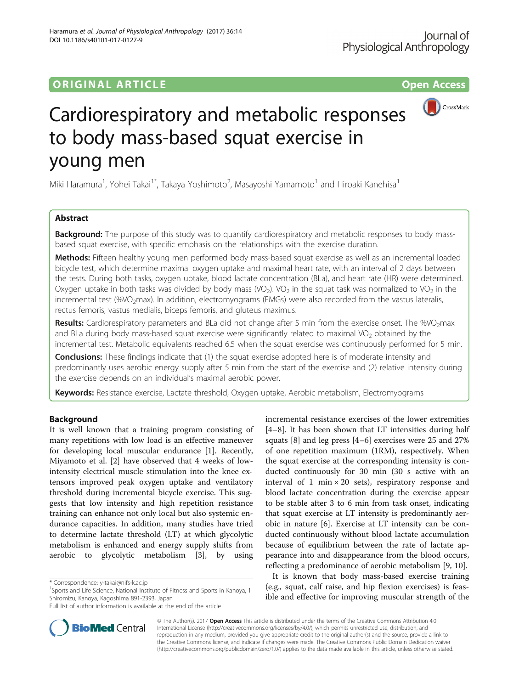## ORIGINAL ARTICLE **CONSERVANCE CONSERVANCE CONSERVANCE CONSERVANCE CONSERVANCE CONSERVANCE CONSERVANCE CONSERVANCE**



# Cardiorespiratory and metabolic responses to body mass-based squat exercise in young men

Miki Haramura<sup>1</sup>, Yohei Takai<sup>1\*</sup>, Takaya Yoshimoto<sup>2</sup>, Masayoshi Yamamoto<sup>1</sup> and Hiroaki Kanehisa<sup>1</sup>

## Abstract

**Background:** The purpose of this study was to quantify cardiorespiratory and metabolic responses to body massbased squat exercise, with specific emphasis on the relationships with the exercise duration.

Methods: Fifteen healthy young men performed body mass-based squat exercise as well as an incremental loaded bicycle test, which determine maximal oxygen uptake and maximal heart rate, with an interval of 2 days between the tests. During both tasks, oxygen uptake, blood lactate concentration (BLa), and heart rate (HR) were determined. Oxygen uptake in both tasks was divided by body mass (VO<sub>2</sub>). VO<sub>2</sub> in the squat task was normalized to VO<sub>2</sub> in the incremental test (%VO<sub>2</sub>max). In addition, electromyograms (EMGs) were also recorded from the vastus lateralis, rectus femoris, vastus medialis, biceps femoris, and gluteus maximus.

Results: Cardiorespiratory parameters and BLa did not change after 5 min from the exercise onset. The %VO<sub>2</sub>max and BLa during body mass-based squat exercise were significantly related to maximal VO<sub>2</sub> obtained by the incremental test. Metabolic equivalents reached 6.5 when the squat exercise was continuously performed for 5 min.

**Conclusions:** These findings indicate that (1) the squat exercise adopted here is of moderate intensity and predominantly uses aerobic energy supply after 5 min from the start of the exercise and (2) relative intensity during the exercise depends on an individual's maximal aerobic power.

Keywords: Resistance exercise, Lactate threshold, Oxygen uptake, Aerobic metabolism, Electromyograms

## Background

It is well known that a training program consisting of many repetitions with low load is an effective maneuver for developing local muscular endurance [[1](#page-7-0)]. Recently, Miyamoto et al. [[2\]](#page-7-0) have observed that 4 weeks of lowintensity electrical muscle stimulation into the knee extensors improved peak oxygen uptake and ventilatory threshold during incremental bicycle exercise. This suggests that low intensity and high repetition resistance training can enhance not only local but also systemic endurance capacities. In addition, many studies have tried to determine lactate threshold (LT) at which glycolytic metabolism is enhanced and energy supply shifts from aerobic to glycolytic metabolism [\[3](#page-7-0)], by using

<sup>1</sup>Sports and Life Science, National Institute of Fitness and Sports in Kanoya, 1 Shiromizu, Kanoya, Kagoshima 891-2393, Japan



It is known that body mass-based exercise training (e.g., squat, calf raise, and hip flexion exercises) is feasible and effective for improving muscular strength of the



© The Author(s). 2017 **Open Access** This article is distributed under the terms of the Creative Commons Attribution 4.0 International License [\(http://creativecommons.org/licenses/by/4.0/](http://creativecommons.org/licenses/by/4.0/)), which permits unrestricted use, distribution, and reproduction in any medium, provided you give appropriate credit to the original author(s) and the source, provide a link to the Creative Commons license, and indicate if changes were made. The Creative Commons Public Domain Dedication waiver [\(http://creativecommons.org/publicdomain/zero/1.0/](http://creativecommons.org/publicdomain/zero/1.0/)) applies to the data made available in this article, unless otherwise stated.

<sup>\*</sup> Correspondence: [y-takai@nifs-k.ac.jp](mailto:y-takai@nifs-k.ac.jp) <sup>1</sup>

Full list of author information is available at the end of the article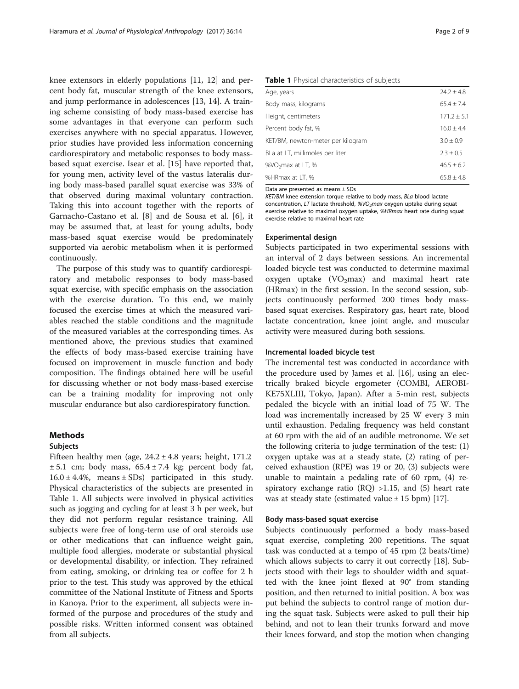<span id="page-1-0"></span>knee extensors in elderly populations [\[11](#page-7-0), [12](#page-7-0)] and percent body fat, muscular strength of the knee extensors, and jump performance in adolescences [\[13, 14](#page-7-0)]. A training scheme consisting of body mass-based exercise has some advantages in that everyone can perform such exercises anywhere with no special apparatus. However, prior studies have provided less information concerning cardiorespiratory and metabolic responses to body massbased squat exercise. Isear et al. [[15\]](#page-7-0) have reported that, for young men, activity level of the vastus lateralis during body mass-based parallel squat exercise was 33% of that observed during maximal voluntary contraction. Taking this into account together with the reports of Garnacho-Castano et al. [[8\]](#page-7-0) and de Sousa et al. [\[6\]](#page-7-0), it may be assumed that, at least for young adults, body mass-based squat exercise would be predominately supported via aerobic metabolism when it is performed continuously.

The purpose of this study was to quantify cardiorespiratory and metabolic responses to body mass-based squat exercise, with specific emphasis on the association with the exercise duration. To this end, we mainly focused the exercise times at which the measured variables reached the stable conditions and the magnitude of the measured variables at the corresponding times. As mentioned above, the previous studies that examined the effects of body mass-based exercise training have focused on improvement in muscle function and body composition. The findings obtained here will be useful for discussing whether or not body mass-based exercise can be a training modality for improving not only muscular endurance but also cardiorespiratory function.

## Methods

## Subjects

Fifteen healthy men (age,  $24.2 \pm 4.8$  years; height, 171.2  $\pm$  5.1 cm; body mass, 65.4  $\pm$  7.4 kg; percent body fat,  $16.0 \pm 4.4\%$ , means  $\pm$  SDs) participated in this study. Physical characteristics of the subjects are presented in Table 1. All subjects were involved in physical activities such as jogging and cycling for at least 3 h per week, but they did not perform regular resistance training. All subjects were free of long-term use of oral steroids use or other medications that can influence weight gain, multiple food allergies, moderate or substantial physical or developmental disability, or infection. They refrained from eating, smoking, or drinking tea or coffee for 2 h prior to the test. This study was approved by the ethical committee of the National Institute of Fitness and Sports in Kanoya. Prior to the experiment, all subjects were informed of the purpose and procedures of the study and possible risks. Written informed consent was obtained from all subjects.

## Table 1 Physical characteristics of subjects

| $74.7 + 4.8$    |
|-----------------|
| $65.4 \pm 7.4$  |
| $171.2 \pm 5.1$ |
| $16.0 \pm 4.4$  |
| $3.0 \pm 0.9$   |
| $2.3 + 0.5$     |
| $46.5 \pm 6.2$  |
| $65.8 \pm 4.8$  |
|                 |

Data are presented as means ± SDs

KET/BM knee extension torque relative to body mass, BLa blood lactate concentration, LT lactate threshold,  $%VO<sub>2</sub>max$  oxygen uptake during squat exercise relative to maximal oxygen uptake, %HRmax heart rate during squat exercise relative to maximal heart rate

## Experimental design

Subjects participated in two experimental sessions with an interval of 2 days between sessions. An incremental loaded bicycle test was conducted to determine maximal oxygen uptake  $(VO_2$ max) and maximal heart rate (HRmax) in the first session. In the second session, subjects continuously performed 200 times body massbased squat exercises. Respiratory gas, heart rate, blood lactate concentration, knee joint angle, and muscular activity were measured during both sessions.

## Incremental loaded bicycle test

The incremental test was conducted in accordance with the procedure used by James et al. [\[16\]](#page-8-0), using an electrically braked bicycle ergometer (COMBI, AEROBI-KE75XLIII, Tokyo, Japan). After a 5-min rest, subjects pedaled the bicycle with an initial load of 75 W. The load was incrementally increased by 25 W every 3 min until exhaustion. Pedaling frequency was held constant at 60 rpm with the aid of an audible metronome. We set the following criteria to judge termination of the test: (1) oxygen uptake was at a steady state, (2) rating of perceived exhaustion (RPE) was 19 or 20, (3) subjects were unable to maintain a pedaling rate of 60 rpm, (4) respiratory exchange ratio  $(RQ) > 1.15$ , and  $(5)$  heart rate was at steady state (estimated value  $\pm$  15 bpm) [\[17](#page-8-0)].

## Body mass-based squat exercise

Subjects continuously performed a body mass-based squat exercise, completing 200 repetitions. The squat task was conducted at a tempo of 45 rpm (2 beats/time) which allows subjects to carry it out correctly [\[18\]](#page-8-0). Subjects stood with their legs to shoulder width and squatted with the knee joint flexed at 90° from standing position, and then returned to initial position. A box was put behind the subjects to control range of motion during the squat task. Subjects were asked to pull their hip behind, and not to lean their trunks forward and move their knees forward, and stop the motion when changing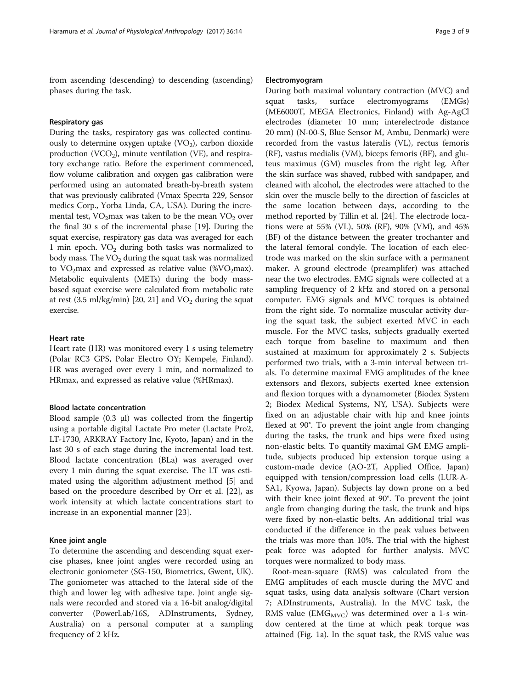from ascending (descending) to descending (ascending) phases during the task.

## Respiratory gas

During the tasks, respiratory gas was collected continuously to determine oxygen uptake  $(VO<sub>2</sub>)$ , carbon dioxide production (VCO<sub>2</sub>), minute ventilation (VE), and respiratory exchange ratio. Before the experiment commenced, flow volume calibration and oxygen gas calibration were performed using an automated breath-by-breath system that was previously calibrated (Vmax Specrta 229, Sensor medics Corp., Yorba Linda, CA, USA). During the incremental test,  $VO<sub>2</sub>max$  was taken to be the mean  $VO<sub>2</sub>$  over the final 30 s of the incremental phase [[19](#page-8-0)]. During the squat exercise, respiratory gas data was averaged for each 1 min epoch.  $VO<sub>2</sub>$  during both tasks was normalized to body mass. The  $VO<sub>2</sub>$  during the squat task was normalized to  $VO<sub>2</sub>max$  and expressed as relative value (% $VO<sub>2</sub>max$ ). Metabolic equivalents (METs) during the body massbased squat exercise were calculated from metabolic rate at rest (3.5 ml/kg/min) [[20](#page-8-0), [21](#page-8-0)] and  $VO<sub>2</sub>$  during the squat exercise.

## Heart rate

Heart rate (HR) was monitored every 1 s using telemetry (Polar RC3 GPS, Polar Electro OY; Kempele, Finland). HR was averaged over every 1 min, and normalized to HRmax, and expressed as relative value (%HRmax).

## Blood lactate concentration

Blood sample (0.3 μl) was collected from the fingertip using a portable digital Lactate Pro meter (Lactate Pro2, LT-1730, ARKRAY Factory Inc, Kyoto, Japan) and in the last 30 s of each stage during the incremental load test. Blood lactate concentration (BLa) was averaged over every 1 min during the squat exercise. The LT was estimated using the algorithm adjustment method [[5\]](#page-7-0) and based on the procedure described by Orr et al. [\[22\]](#page-8-0), as work intensity at which lactate concentrations start to increase in an exponential manner [\[23](#page-8-0)].

## Knee joint angle

To determine the ascending and descending squat exercise phases, knee joint angles were recorded using an electronic goniometer (SG-150, Biometrics, Gwent, UK). The goniometer was attached to the lateral side of the thigh and lower leg with adhesive tape. Joint angle signals were recorded and stored via a 16-bit analog/digital converter (PowerLab/16S, ADInstruments, Sydney, Australia) on a personal computer at a sampling frequency of 2 kHz.

## Electromyogram

During both maximal voluntary contraction (MVC) and squat tasks, surface electromyograms (EMGs) (ME6000T, MEGA Electronics, Finland) with Ag-AgCl electrodes (diameter 10 mm; interelectrode distance 20 mm) (N-00-S, Blue Sensor M, Ambu, Denmark) were recorded from the vastus lateralis (VL), rectus femoris (RF), vastus medialis (VM), biceps femoris (BF), and gluteus maximus (GM) muscles from the right leg. After the skin surface was shaved, rubbed with sandpaper, and cleaned with alcohol, the electrodes were attached to the skin over the muscle belly to the direction of fascicles at the same location between days, according to the method reported by Tillin et al. [[24\]](#page-8-0). The electrode locations were at 55% (VL), 50% (RF), 90% (VM), and 45% (BF) of the distance between the greater trochanter and the lateral femoral condyle. The location of each electrode was marked on the skin surface with a permanent maker. A ground electrode (preamplifer) was attached near the two electrodes. EMG signals were collected at a sampling frequency of 2 kHz and stored on a personal computer. EMG signals and MVC torques is obtained from the right side. To normalize muscular activity during the squat task, the subject exerted MVC in each muscle. For the MVC tasks, subjects gradually exerted each torque from baseline to maximum and then sustained at maximum for approximately 2 s. Subjects performed two trials, with a 3-min interval between trials. To determine maximal EMG amplitudes of the knee extensors and flexors, subjects exerted knee extension and flexion torques with a dynamometer (Biodex System 2; Biodex Medical Systems, NY, USA). Subjects were fixed on an adjustable chair with hip and knee joints flexed at 90°. To prevent the joint angle from changing during the tasks, the trunk and hips were fixed using non-elastic belts. To quantify maximal GM EMG amplitude, subjects produced hip extension torque using a custom-made device (AO-2T, Applied Office, Japan) equipped with tension/compression load cells (LUR-A-SA1, Kyowa, Japan). Subjects lay down prone on a bed with their knee joint flexed at 90°. To prevent the joint angle from changing during the task, the trunk and hips were fixed by non-elastic belts. An additional trial was conducted if the difference in the peak values between the trials was more than 10%. The trial with the highest peak force was adopted for further analysis. MVC torques were normalized to body mass.

Root-mean-square (RMS) was calculated from the EMG amplitudes of each muscle during the MVC and squat tasks, using data analysis software (Chart version 7; ADInstruments, Australia). In the MVC task, the RMS value (EMG<sub>MVC</sub>) was determined over a 1-s window centered at the time at which peak torque was attained (Fig. [1a\)](#page-3-0). In the squat task, the RMS value was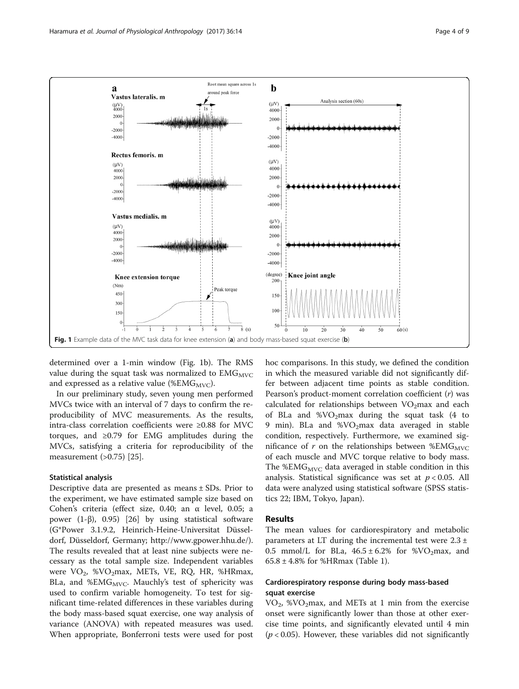<span id="page-3-0"></span>

determined over a 1-min window (Fig. 1b). The RMS value during the squat task was normalized to  $EMG<sub>MVC</sub>$ and expressed as a relative value (% $EMG<sub>MVC</sub>$ ).

In our preliminary study, seven young men performed MVCs twice with an interval of 7 days to confirm the reproducibility of MVC measurements. As the results, intra-class correlation coefficients were ≥0.88 for MVC torques, and ≥0.79 for EMG amplitudes during the MVCs, satisfying a criteria for reproducibility of the measurement (>0.75) [[25\]](#page-8-0).

## Statistical analysis

Descriptive data are presented as means ± SDs. Prior to the experiment, we have estimated sample size based on Cohen's criteria (effect size, 0.40; an α level, 0.05; a power (1-β), 0.95) [\[26](#page-8-0)] by using statistical software (G\*Power 3.1.9.2, Heinrich-Heine-Universitat Düsseldorf, Düsseldorf, Germany;<http://www.gpower.hhu.de/>). The results revealed that at least nine subjects were necessary as the total sample size. Independent variables were  $VO_2$ , % $VO_2$ max, METs, VE, RQ, HR, %HRmax, BLa, and %EM $G_{\text{MVC}}$ . Mauchly's test of sphericity was used to confirm variable homogeneity. To test for significant time-related differences in these variables during the body mass-based squat exercise, one way analysis of variance (ANOVA) with repeated measures was used. When appropriate, Bonferroni tests were used for post

hoc comparisons. In this study, we defined the condition in which the measured variable did not significantly differ between adjacent time points as stable condition. Pearson's product-moment correlation coefficient  $(r)$  was calculated for relationships between  $VO<sub>2</sub>$ max and each of BLa and %VO<sub>2</sub>max during the squat task  $(4 \text{ to}$ 9 min). BLa and  $\%VO<sub>2</sub>max$  data averaged in stable condition, respectively. Furthermore, we examined significance of  $r$  on the relationships between %EMG $_{\text{MVC}}$ of each muscle and MVC torque relative to body mass. The %EM $G_{\text{MVC}}$  data averaged in stable condition in this analysis. Statistical significance was set at  $p < 0.05$ . All data were analyzed using statistical software (SPSS statistics 22; IBM, Tokyo, Japan).

## Results

The mean values for cardiorespiratory and metabolic parameters at LT during the incremental test were 2.3 ± 0.5 mmol/L for BLa,  $46.5 \pm 6.2\%$  for  $\%$ VO<sub>2</sub>max, and  $65.8 \pm 4.8\%$  for %HRmax (Table [1\)](#page-1-0).

## Cardiorespiratory response during body mass-based squat exercise

 $VO<sub>2</sub>$ , %VO<sub>2</sub>max, and METs at 1 min from the exercise onset were significantly lower than those at other exercise time points, and significantly elevated until 4 min  $(p < 0.05)$ . However, these variables did not significantly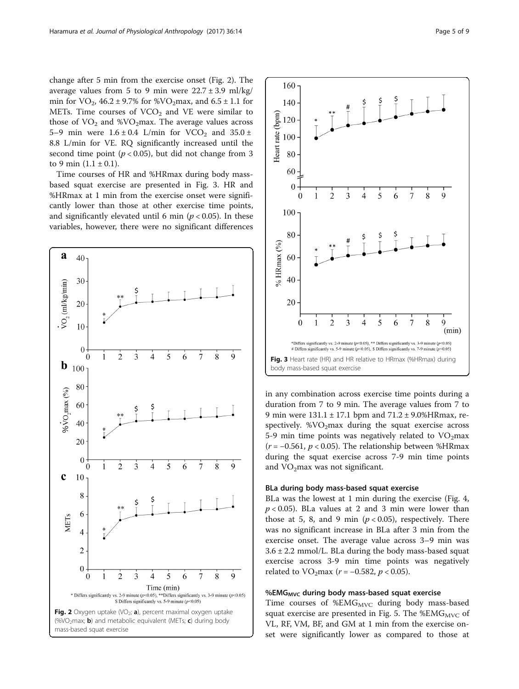change after 5 min from the exercise onset (Fig. 2). The average values from 5 to 9 min were  $22.7 \pm 3.9$  ml/kg/ min for  $VO_2$ , 46.2 ± 9.7% for %VO<sub>2</sub>max, and 6.5 ± 1.1 for METs. Time courses of  $VCO<sub>2</sub>$  and VE were similar to those of  $VO<sub>2</sub>$  and %VO<sub>2</sub>max. The average values across 5–9 min were  $1.6 \pm 0.4$  L/min for VCO<sub>2</sub> and  $35.0 \pm$ 8.8 L/min for VE. RQ significantly increased until the second time point ( $p < 0.05$ ), but did not change from 3 to 9 min  $(1.1 \pm 0.1)$ .

Time courses of HR and %HRmax during body massbased squat exercise are presented in Fig. 3. HR and %HRmax at 1 min from the exercise onset were significantly lower than those at other exercise time points, and significantly elevated until 6 min ( $p < 0.05$ ). In these variables, however, there were no significant differences





Fig. 3 Heart rate (HR) and HR relative to HRmax (%HRmax) during body mass-based squat exercise

in any combination across exercise time points during a duration from 7 to 9 min. The average values from 7 to 9 min were 131.1 ± 17.1 bpm and 71.2 ± 9.0%HRmax, respectively.  $\%$ VO<sub>2</sub>max during the squat exercise across 5-9 min time points was negatively related to  $VO<sub>2</sub>max$ ( $r = -0.561$ ,  $p < 0.05$ ). The relationship between %HRmax during the squat exercise across 7-9 min time points and  $VO<sub>2</sub>max$  was not significant.

## BLa during body mass-based squat exercise

BLa was the lowest at 1 min during the exercise (Fig. [4](#page-5-0),  $p < 0.05$ ). BLa values at 2 and 3 min were lower than those at 5, 8, and 9 min ( $p < 0.05$ ), respectively. There was no significant increase in BLa after 3 min from the exercise onset. The average value across 3–9 min was  $3.6 \pm 2.2$  mmol/L. BLa during the body mass-based squat exercise across 3-9 min time points was negatively related to  $VO<sub>2</sub>max$  (*r* = -0.582, *p* < 0.05).

## %EMG $_{\text{MVC}}$  during body mass-based squat exercise

Time courses of  $%EMG_{MVC}$  during body mass-based squat exercise are presented in Fig. [5](#page-6-0). The %EM $G_{\text{MVC}}$  of VL, RF, VM, BF, and GM at 1 min from the exercise onset were significantly lower as compared to those at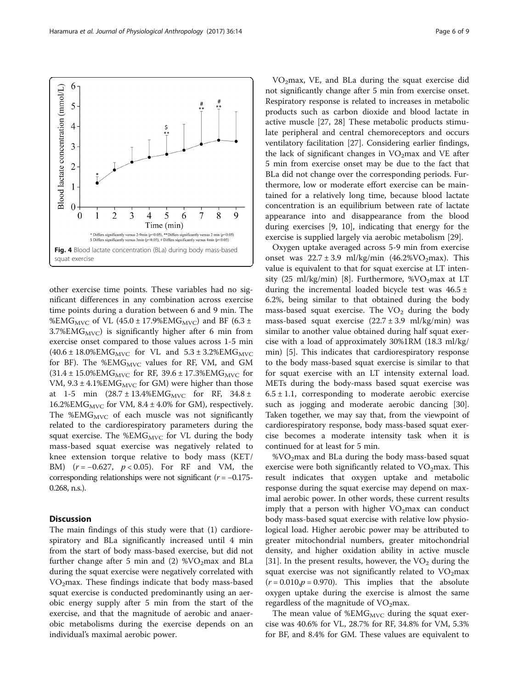other exercise time points. These variables had no significant differences in any combination across exercise time points during a duration between 6 and 9 min. The %EMG<sub>MVC</sub> of VL (45.0 ± 17.9%EMG<sub>MVC</sub>) and BF (6.3 ± 3.7%EM $G_{\text{MVC}}$ ) is significantly higher after 6 min from exercise onset compared to those values across 1-5 min  $(40.6 \pm 18.0\%$ EMG<sub>MVC</sub> for VL and  $5.3 \pm 3.2\%$ EMG<sub>MVC</sub> for BF). The %EM $G_{MVC}$  values for RF, VM, and GM  $(31.4 \pm 15.0\%$ EMG<sub>MVC</sub> for RF,  $39.6 \pm 17.3\%$ EMG<sub>MVC</sub> for VM,  $9.3 \pm 4.1\%$ EMG<sub>MVC</sub> for GM) were higher than those at 1-5 min  $(28.7 \pm 13.4\% \text{EMG}_{MVC}$  for RF,  $34.8 \pm$ 16.2%EMG<sub>MVC</sub> for VM, 8.4  $\pm$  4.0% for GM), respectively. The  $%EMG<sub>MVC</sub>$  of each muscle was not significantly related to the cardiorespiratory parameters during the squat exercise. The %EM $G_{MVC}$  for VL during the body mass-based squat exercise was negatively related to knee extension torque relative to body mass (KET/ BM)  $(r = -0.627, p < 0.05)$ . For RF and VM, the corresponding relationships were not significant  $(r = -0.175$ -0.268, n.s.).

## **Discussion**

The main findings of this study were that (1) cardiorespiratory and BLa significantly increased until 4 min from the start of body mass-based exercise, but did not further change after 5 min and (2)  $\%$ VO<sub>2</sub>max and BLa during the squat exercise were negatively correlated with  $VO<sub>2</sub>max.$  These findings indicate that body mass-based squat exercise is conducted predominantly using an aerobic energy supply after 5 min from the start of the exercise, and that the magnitude of aerobic and anaerobic metabolisms during the exercise depends on an individual's maximal aerobic power.

VO2max, VE, and BLa during the squat exercise did not significantly change after 5 min from exercise onset. Respiratory response is related to increases in metabolic products such as carbon dioxide and blood lactate in active muscle [[27](#page-8-0), [28](#page-8-0)] These metabolic products stimulate peripheral and central chemoreceptors and occurs ventilatory facilitation [[27\]](#page-8-0). Considering earlier findings, the lack of significant changes in  $VO<sub>2</sub>$ max and VE after 5 min from exercise onset may be due to the fact that BLa did not change over the corresponding periods. Furthermore, low or moderate effort exercise can be maintained for a relatively long time, because blood lactate concentration is an equilibrium between rate of lactate appearance into and disappearance from the blood during exercises [\[9](#page-7-0), [10\]](#page-7-0), indicating that energy for the exercise is supplied largely via aerobic metabolism [[29\]](#page-8-0).

Oxygen uptake averaged across 5-9 min from exercise onset was  $22.7 \pm 3.9$  ml/kg/min (46.2%VO<sub>2</sub>max). This value is equivalent to that for squat exercise at LT inten-sity (25 ml/kg/min) [\[8\]](#page-7-0). Furthermore,  $\%$ VO<sub>2</sub>max at LT during the incremental loaded bicycle test was  $46.5 \pm$ 6.2%, being similar to that obtained during the body mass-based squat exercise. The  $VO<sub>2</sub>$  during the body mass-based squat exercise  $(22.7 \pm 3.9 \text{ ml/kg/min})$  was similar to another value obtained during half squat exercise with a load of approximately 30%1RM (18.3 ml/kg/ min) [[5](#page-7-0)]. This indicates that cardiorespiratory response to the body mass-based squat exercise is similar to that for squat exercise with an LT intensity external load. METs during the body-mass based squat exercise was  $6.5 \pm 1.1$ , corresponding to moderate aerobic exercise such as jogging and moderate aerobic dancing [\[30](#page-8-0)]. Taken together, we may say that, from the viewpoint of cardiorespiratory response, body mass-based squat exercise becomes a moderate intensity task when it is continued for at least for 5 min.

 $%VO<sub>2</sub>max$  and BLa during the body mass-based squat exercise were both significantly related to  $VO<sub>2</sub>$ max. This result indicates that oxygen uptake and metabolic response during the squat exercise may depend on maximal aerobic power. In other words, these current results imply that a person with higher  $VO<sub>2</sub>$ max can conduct body mass-based squat exercise with relative low physiological load. Higher aerobic power may be attributed to greater mitochondrial numbers, greater mitochondrial density, and higher oxidation ability in active muscle [[31\]](#page-8-0). In the present results, however, the  $VO<sub>2</sub>$  during the squat exercise was not significantly related to  $VO<sub>2</sub>$ max  $(r = 0.010, p = 0.970)$ . This implies that the absolute oxygen uptake during the exercise is almost the same regardless of the magnitude of  $VO<sub>2</sub>$ max.

The mean value of %EM $G_{MVC}$  during the squat exercise was 40.6% for VL, 28.7% for RF, 34.8% for VM, 5.3% for BF, and 8.4% for GM. These values are equivalent to

<span id="page-5-0"></span>6 Blood lactate concentration (mmol/L) 5  $\overline{4}$ 3  $\overline{2}$  $\mathbf{1}$  $\mathbf{Q}$  $\theta$  $\overline{2}$ 3 4 5 6 7 8 Time (min) \* Differs significantly versus 2-9min  $(p<0.05)$ , \*\*Differs significantly versus 2 min  $(p<0.05)$ <br>\$ Differs significantly versus 3min  $(p<0.05)$ , # Differs significantly versus 4min  $(p<0.05)$ Fig. 4 Blood lactate concentration (BLa) during body mass-based squat exercise

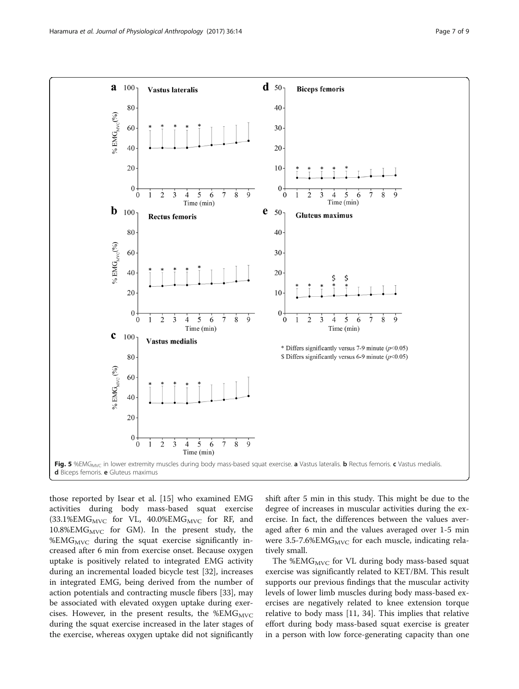<span id="page-6-0"></span>

those reported by Isear et al. [[15](#page-7-0)] who examined EMG activities during body mass-based squat exercise  $(33.1\%EMG<sub>MVC</sub>$  for VL,  $40.0\%EMG<sub>MVC</sub>$  for RF, and  $10.8\%$ EM $G_{MVC}$  for GM). In the present study, the  $%EMG<sub>MVC</sub>$  during the squat exercise significantly increased after 6 min from exercise onset. Because oxygen uptake is positively related to integrated EMG activity during an incremental loaded bicycle test [\[32\]](#page-8-0), increases in integrated EMG, being derived from the number of action potentials and contracting muscle fibers [\[33](#page-8-0)], may be associated with elevated oxygen uptake during exercises. However, in the present results, the %EM $G_{\text{MVC}}$ during the squat exercise increased in the later stages of the exercise, whereas oxygen uptake did not significantly shift after 5 min in this study. This might be due to the degree of increases in muscular activities during the exercise. In fact, the differences between the values averaged after 6 min and the values averaged over 1-5 min were  $3.5$ -7.6%EMG<sub>MVC</sub> for each muscle, indicating relatively small.

The %EM $G_{\text{MVC}}$  for VL during body mass-based squat exercise was significantly related to KET/BM. This result supports our previous findings that the muscular activity levels of lower limb muscles during body mass-based exercises are negatively related to knee extension torque relative to body mass [\[11](#page-7-0), [34\]](#page-8-0). This implies that relative effort during body mass-based squat exercise is greater in a person with low force-generating capacity than one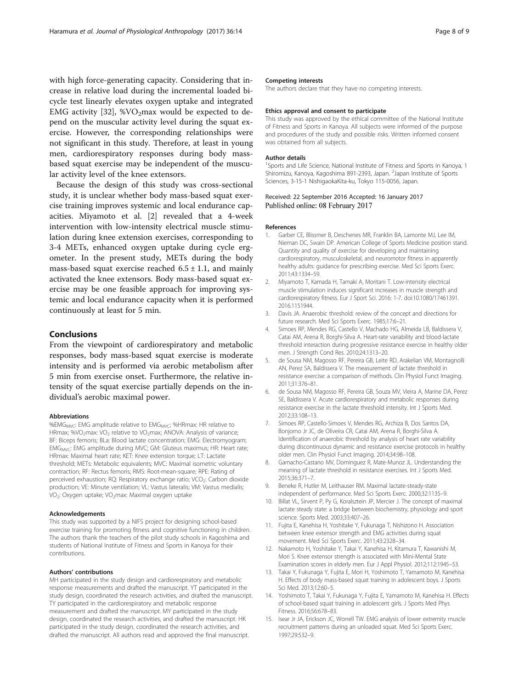<span id="page-7-0"></span>with high force-generating capacity. Considering that increase in relative load during the incremental loaded bicycle test linearly elevates oxygen uptake and integrated EMG activity [[32](#page-8-0)],  $\%$ VO<sub>2</sub>max would be expected to depend on the muscular activity level during the squat exercise. However, the corresponding relationships were not significant in this study. Therefore, at least in young men, cardiorespiratory responses during body massbased squat exercise may be independent of the muscular activity level of the knee extensors.

Because the design of this study was cross-sectional study, it is unclear whether body mass-based squat exercise training improves systemic and local endurance capacities. Miyamoto et al. [2] revealed that a 4-week intervention with low-intensity electrical muscle stimulation during knee extension exercises, corresponding to 3-4 METs, enhanced oxygen uptake during cycle ergometer. In the present study, METs during the body mass-based squat exercise reached  $6.5 \pm 1.1$ , and mainly activated the knee extensors. Body mass-based squat exercise may be one feasible approach for improving systemic and local endurance capacity when it is performed continuously at least for 5 min.

## Conclusions

From the viewpoint of cardiorespiratory and metabolic responses, body mass-based squat exercise is moderate intensity and is performed via aerobic metabolism after 5 min from exercise onset. Furthermore, the relative intensity of the squat exercise partially depends on the individual's aerobic maximal power.

### Abbreviations

%EMG<sub>MVC</sub>: EMG amplitude relative to EMG<sub>MVC</sub>; %HRmax: HR relative to HRmax; %VO<sub>2</sub>max: VO<sub>2</sub> relative to VO<sub>2</sub>max; ANOVA: Analysis of variance; BF: Biceps femoris; BLa: Blood lactate concentration; EMG: Electromyogram; EMG<sub>MVC</sub>: EMG amplitude during MVC; GM: Gluteus maximus; HR: Heart rate; HRmax: Maximal heart rate; KET: Knee extension torque; LT: Lactate threshold; METs: Metabolic equivalents; MVC: Maximal isometric voluntary contraction; RF: Rectus femoris; RMS: Root-mean-square; RPE: Rating of perceived exhaustion; RQ: Respiratory exchange ratio; VCO<sub>2</sub>: Carbon dioxide production; VE: Minute ventilation; VL: Vastus lateralis; VM: Vastus medialis; VO<sub>2</sub>: Oxygen uptake; VO<sub>2</sub>max: Maximal oxygen uptake

## Acknowledgements

This study was supported by a NIFS project for designing school-based exercise training for promoting fitness and cognitive functioning in children. The authors thank the teachers of the pilot study schools in Kagoshima and students of National Institute of Fitness and Sports in Kanoya for their contributions.

### Authors' contributions

MH participated in the study design and cardiorespiratory and metabolic response measurements and drafted the manuscript. YT participated in the study design, coordinated the research activities, and drafted the manuscript. TY participated in the cardiorespiratory and metabolic response measurement and drafted the manuscript. MY participated in the study design, coordinated the research activities, and drafted the manuscript. HK participated in the study design, coordinated the research activities, and drafted the manuscript. All authors read and approved the final manuscript.

### Competing interests

The authors declare that they have no competing interests.

#### Ethics approval and consent to participate

This study was approved by the ethical committee of the National Institute of Fitness and Sports in Kanoya. All subjects were informed of the purpose and procedures of the study and possible risks. Written informed consent was obtained from all subjects.

#### Author details

<sup>1</sup>Sports and Life Science, National Institute of Fitness and Sports in Kanoya, 1 Shiromizu, Kanoya, Kagoshima 891-2393, Japan. <sup>2</sup>Japan Institute of Sports Sciences, 3-15-1 NishigaokaKita-ku, Tokyo 115-0056, Japan.

## Received: 22 September 2016 Accepted: 16 January 2017 Published online: 08 February 2017

#### References

- 1. Garber CE, Blissmer B, Deschenes MR, Franklin BA, Lamonte MJ, Lee IM, Nieman DC, Swain DP. American College of Sports Medicine position stand. Quantity and quality of exercise for developing and maintaining cardiorespiratory, musculoskeletal, and neuromotor fitness in apparently healthy adults: guidance for prescribing exercise. Med Sci Sports Exerc. 2011;43:1334–59.
- 2. Miyamoto T, Kamada H, Tamaki A, Moritani T. Low-intensity electrical muscle stimulation induces significant increases in muscle strength and cardiorespiratory fitness. Eur J Sport Sci. 2016: 1-7. doi[:10.1080/17461391.](http://dx.doi.org/10.1080/17461391.2016.1151944) [2016.1151944](http://dx.doi.org/10.1080/17461391.2016.1151944).
- 3. Davis JA. Anaerobic threshold: review of the concept and directions for future research. Med Sci Sports Exerc. 1985;17:6–21.
- 4. Simoes RP, Mendes RG, Castello V, Machado HG, Almeida LB, Baldissera V, Catai AM, Arena R, Borghi-Silva A. Heart-rate variability and blood-lactate threshold interaction during progressive resistance exercise in healthy older men. J Strength Cond Res. 2010;24:1313–20.
- 5. de Sousa NM, Magosso RF, Pereira GB, Leite RD, Arakelian VM, Montagnolli AN, Perez SA, Baldissera V. The measurement of lactate threshold in resistance exercise: a comparison of methods. Clin Physiol Funct Imaging. 2011;31:376–81.
- 6. de Sousa NM, Magosso RF, Pereira GB, Souza MV, Vieira A, Marine DA, Perez SE, Baldissera V. Acute cardiorespiratory and metabolic responses during resistance exercise in the lactate threshold intensity. Int J Sports Med. 2012;33:108–13.
- 7. Simoes RP, Castello-Simoes V, Mendes RG, Archiza B, Dos Santos DA, Bonjorno Jr JC, de Oliveira CR, Catai AM, Arena R, Borghi-Silva A. Identification of anaerobic threshold by analysis of heart rate variability during discontinuous dynamic and resistance exercise protocols in healthy older men. Clin Physiol Funct Imaging. 2014;34:98–108.
- 8. Garnacho-Castano MV, Dominguez R, Mate-Munoz JL. Understanding the meaning of lactate threshold in resistance exercises. Int J Sports Med. 2015;36:371–7.
- 9. Beneke R, Hutler M, Leithauser RM. Maximal lactate-steady-state independent of performance. Med Sci Sports Exerc. 2000;32:1135–9.
- 10. Billat VL, Sirvent P, Py G, Koralsztein JP, Mercier J. The concept of maximal lactate steady state: a bridge between biochemistry, physiology and sport science. Sports Med. 2003;33:407–26.
- 11. Fujita E, Kanehisa H, Yoshitake Y, Fukunaga T, Nishizono H. Association between knee extensor strength and EMG activities during squat movement. Med Sci Sports Exerc. 2011;43:2328–34.
- 12. Nakamoto H, Yoshitake Y, Takai Y, Kanehisa H, Kitamura T, Kawanishi M, Mori S. Knee extensor strength is associated with Mini-Mental State Examination scores in elderly men. Eur J Appl Physiol. 2012;112:1945–53.
- 13. Takai Y, Fukunaga Y, Fujita E, Mori H, Yoshimoto T, Yamamoto M, Kanehisa H. Effects of body mass-based squat training in adolescent boys. J Sports Sci Med. 2013;12:60–5.
- 14. Yoshimoto T, Takai Y, Fukunaga Y, Fujita E, Yamamoto M, Kanehisa H. Effects of school-based squat training in adolescent girls. J Sports Med Phys Fitness. 2016;56:678–83.
- 15. Isear Jr JA, Erickson JC, Worrell TW. EMG analysis of lower extremity muscle recruitment patterns during an unloaded squat. Med Sci Sports Exerc. 1997;29:532–9.